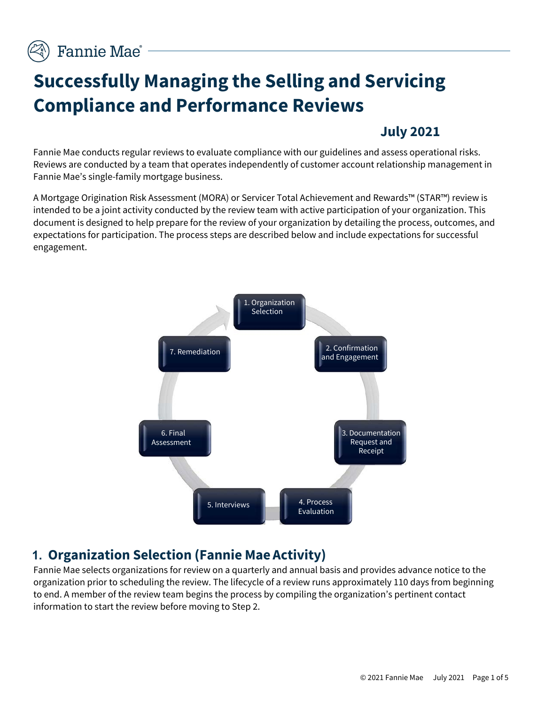# **Successfully Managing the Selling and Servicing Compliance and Performance Reviews**

## **July 2021**

Fannie Mae conducts regular reviews to evaluate compliance with our guidelines and assess operational risks. Reviews are conducted by a team that operates independently of customer account relationship management in Fannie Mae's single-family mortgage business.

A Mortgage Origination Risk Assessment (MORA) or Servicer Total Achievement and Rewards™ (STAR™) review is intended to be a joint activity conducted by the review team with active participation of your organization. This document is designed to help prepare for the review of your organization by detailing the process, outcomes, and expectations for participation. The process steps are described below and include expectations for successful engagement.



## **1. Organization Selection (Fannie Mae Activity)**

Fannie Mae selects organizations for review on a quarterly and annual basis and provides advance notice to the organization prior to scheduling the review. The lifecycle of a review runs approximately 110 days from beginning to end. A member of the review team begins the process by compiling the organization's pertinent contact information to start the review before moving to Step 2.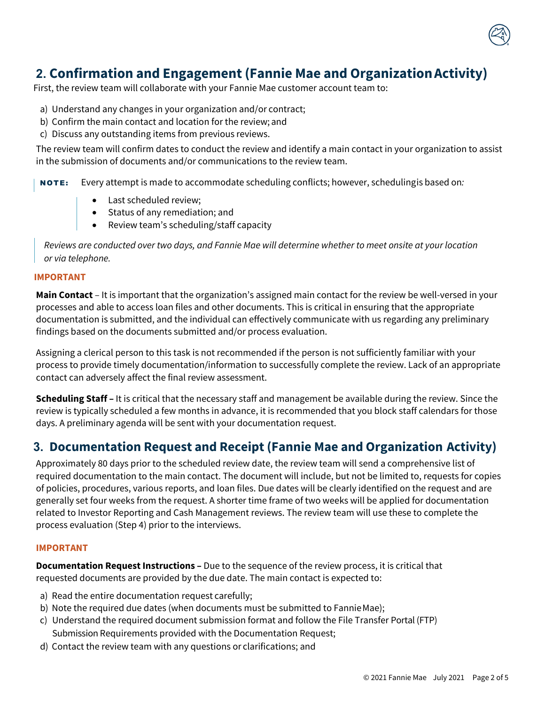## **2. Confirmation and Engagement (Fannie Mae and OrganizationActivity)**

First, the review team will collaborate with your Fannie Mae customer account team to:

- a) Understand any changes in your organization and/or contract;
- b) Confirm the main contact and location for the review; and
- c) Discuss any outstanding items from previous reviews.

The review team will confirm dates to conduct the review and identify a main contact in your organization to assist in the submission of documents and/or communications to the review team.

NOTE: Every attempt is made to accommodate scheduling conflicts; however, schedulingis based on*:*

- Last scheduled review;
- Status of any remediation; and
- Review team's scheduling/staff capacity

*Reviews are conducted over two days, and Fannie Mae will determine whether to meet onsite at your location or via telephone.*

#### **IMPORTANT**

**Main Contact** – It is important that the organization's assigned main contact for the review be well-versed in your processes and able to access loan files and other documents. This is critical in ensuring that the appropriate documentation is submitted, and the individual can effectively communicate with us regarding any preliminary findings based on the documents submitted and/or process evaluation.

Assigning a clerical person to this task is not recommended if the person is not sufficiently familiar with your process to provide timely documentation/information to successfully complete the review. Lack of an appropriate contact can adversely affect the final review assessment.

**Scheduling Staff –** It is critical that the necessary staff and management be available during the review. Since the review is typically scheduled a few months in advance, it is recommended that you block staff calendars for those days. A preliminary agenda will be sent with your documentation request.

### **3. Documentation Request and Receipt (Fannie Mae and Organization Activity)**

Approximately 80 days prior to the scheduled review date, the review team will send a comprehensive list of required documentation to the main contact. The document will include, but not be limited to, requests for copies of policies, procedures, various reports, and loan files. Due dates will be clearly identified on the request and are generally set four weeks from the request. A shorter time frame of two weeks will be applied for documentation related to Investor Reporting and Cash Management reviews. The review team will use these to complete the process evaluation (Step 4) prior to the interviews.

#### **IMPORTANT**

**Documentation Request Instructions –** Due to the sequence of the review process, it is critical that requested documents are provided by the due date. The main contact is expected to:

- a) Read the entire documentation request carefully;
- b) Note the required due dates (when documents must be submitted to FannieMae);
- c) Understand the required document submission format and follow the File Transfer Portal (FTP) Submission Requirements provided with the Documentation Request;
- d) Contact the review team with any questions or clarifications; and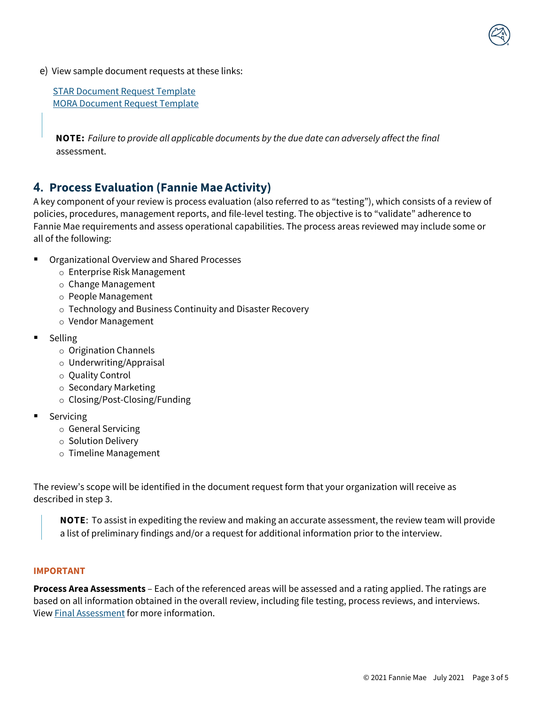e) View sample document requests at these links:

 [STAR Document Request Template](https://singlefamily.fanniemae.com/media/document/xlsx/star-document-request-template) [MORA Document Request](https://singlefamily.fanniemae.com/media/document/xlsx/mortgage-origination-risk-assessment-document-request-template) Template

**NOTE:** *Failure to provide all applicable documents by the due date can adversely affect the final*  assessment.

## **4. Process Evaluation (Fannie Mae Activity)**

A key component of your review is process evaluation (also referred to as "testing"), which consists of a review of policies, procedures, management reports, and file-level testing. The objective is to "validate" adherence to Fannie Mae requirements and assess operational capabilities. The process areas reviewed may include some or all of the following:

- Organizational Overview and Shared Processes
	- o Enterprise Risk Management
	- o Change Management
	- o People Management
	- o Technology and Business Continuity and Disaster Recovery
	- o Vendor Management
- **Selling** 
	- o Origination Channels
	- o Underwriting/Appraisal
	- o Quality Control
	- o Secondary Marketing
	- o Closing/Post-Closing/Funding
- Servicing
	- o General Servicing
	- o Solution Delivery
	- o Timeline Management

The review's scope will be identified in the document request form that your organization will receive as described in step 3.

**NOTE**: To assist in expediting the review and making an accurate assessment, the review team will provide a list of preliminary findings and/or a request for additional information prior to the interview.

### **IMPORTANT**

**Process Area Assessments** – Each of the referenced areas will be assessed and a rating applied. The ratings are based on all information obtained in the overall review, including file testing, process reviews, and interviews. Vie[w Final Assessment](#page-3-0) for more information.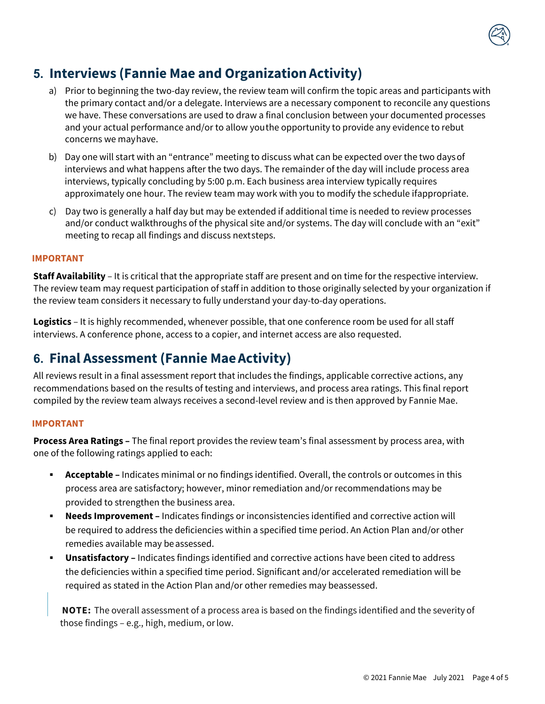

- a) Prior to beginning the two-day review, the review team will confirm the topic areas and participants with the primary contact and/or a delegate. Interviews are a necessary component to reconcile any questions we have. These conversations are used to draw a final conclusion between your documented processes and your actual performance and/or to allow youthe opportunity to provide any evidence to rebut concerns we mayhave.
- b) Day one will start with an "entrance" meeting to discuss what can be expected over the two daysof interviews and what happens after the two days. The remainder of the day will include process area interviews, typically concluding by 5:00 p.m. Each business area interview typically requires approximately one hour. The review team may work with you to modify the schedule ifappropriate.
- c) Day two is generally a half day but may be extended if additional time is needed to review processes and/or conduct walkthroughs of the physical site and/or systems. The day will conclude with an "exit" meeting to recap all findings and discuss nextsteps.

### **IMPORTANT**

**Staff Availability** – It is critical that the appropriate staff are present and on time for the respective interview. The review team may request participation of staff in addition to those originally selected by your organization if the review team considers it necessary to fully understand your day-to-day operations.

**Logistics** – It is highly recommended, whenever possible, that one conference room be used for all staff interviews. A conference phone, access to a copier, and internet access are also requested.

## <span id="page-3-0"></span>**6. Final Assessment (Fannie MaeActivity)**

All reviews result in a final assessment report that includes the findings, applicable corrective actions, any recommendations based on the results of testing and interviews, and process area ratings. This final report compiled by the review team always receives a second-level review and is then approved by Fannie Mae.

### **IMPORTANT**

**Process Area Ratings –** The final report provides the review team's final assessment by process area, with one of the following ratings applied to each:

- **Acceptable –** Indicates minimal or no findings identified. Overall, the controls or outcomes in this process area are satisfactory; however, minor remediation and/or recommendations may be provided to strengthen the business area.
- **Needs Improvement –** Indicates findings or inconsistencies identified and corrective action will be required to address the deficiencies within a specified time period. An Action Plan and/or other remedies available may be assessed.
- **Unsatisfactory –** Indicates findings identified and corrective actions have been cited to address the deficiencies within a specified time period. Significant and/or accelerated remediation will be required as stated in the Action Plan and/or other remedies may beassessed.

**NOTE:** The overall assessment of a process area is based on the findings identified and the severity of those findings – e.g., high, medium, orlow.